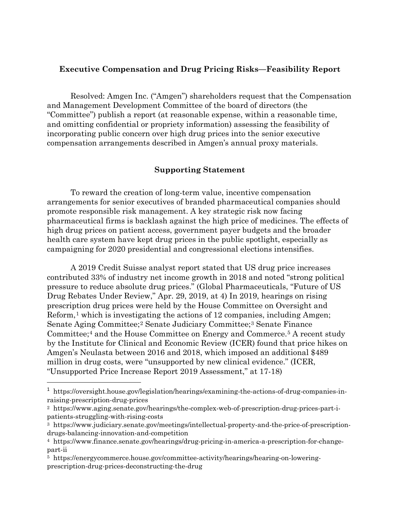## **Executive Compensation and Drug Pricing Risks—Feasibility Report**

Resolved: Amgen Inc. ("Amgen") shareholders request that the Compensation and Management Development Committee of the board of directors (the "Committee") publish a report (at reasonable expense, within a reasonable time, and omitting confidential or propriety information) assessing the feasibility of incorporating public concern over high drug prices into the senior executive compensation arrangements described in Amgen's annual proxy materials.

## **Supporting Statement**

To reward the creation of long-term value, incentive compensation arrangements for senior executives of branded pharmaceutical companies should promote responsible risk management. A key strategic risk now facing pharmaceutical firms is backlash against the high price of medicines. The effects of high drug prices on patient access, government payer budgets and the broader health care system have kept drug prices in the public spotlight, especially as campaigning for 2020 presidential and congressional elections intensifies.

A 2019 Credit Suisse analyst report stated that US drug price increases contributed 33% of industry net income growth in 2018 and noted "strong political pressure to reduce absolute drug prices." (Global Pharmaceuticals, "Future of US Drug Rebates Under Review," Apr. 29, 2019, at 4) In 2019, hearings on rising prescription drug prices were held by the House Committee on Oversight and Reform,<sup>[1](#page-0-0)</sup> which is investigating the actions of 12 companies, including Amgen; Senate Aging Committee;[2](#page-0-1) Senate Judiciary Committee;[3](#page-0-2) Senate Finance Committee;[4](#page-0-3) and the House Committee on Energy and Commerce.[5](#page-0-4) A recent study by the Institute for Clinical and Economic Review (ICER) found that price hikes on Amgen's Neulasta between 2016 and 2018, which imposed an additional \$489 million in drug costs, were "unsupported by new clinical evidence." (ICER, "Unsupported Price Increase Report 2019 Assessment," at 17-18)

<span id="page-0-0"></span> <sup>1</sup> https://oversight.house.gov/legislation/hearings/examining-the-actions-of-drug-companies-inraising-prescription-drug-prices

<span id="page-0-1"></span><sup>2</sup> https://www.aging.senate.gov/hearings/the-complex-web-of-prescription-drug-prices-part-ipatients-struggling-with-rising-costs

<span id="page-0-2"></span><sup>3</sup> https://www.judiciary.senate.gov/meetings/intellectual-property-and-the-price-of-prescriptiondrugs-balancing-innovation-and-competition

<span id="page-0-3"></span><sup>4</sup> https://www.finance.senate.gov/hearings/drug-pricing-in-america-a-prescription-for-changepart-ii

<span id="page-0-4"></span><sup>5</sup> https://energycommerce.house.gov/committee-activity/hearings/hearing-on-loweringprescription-drug-prices-deconstructing-the-drug